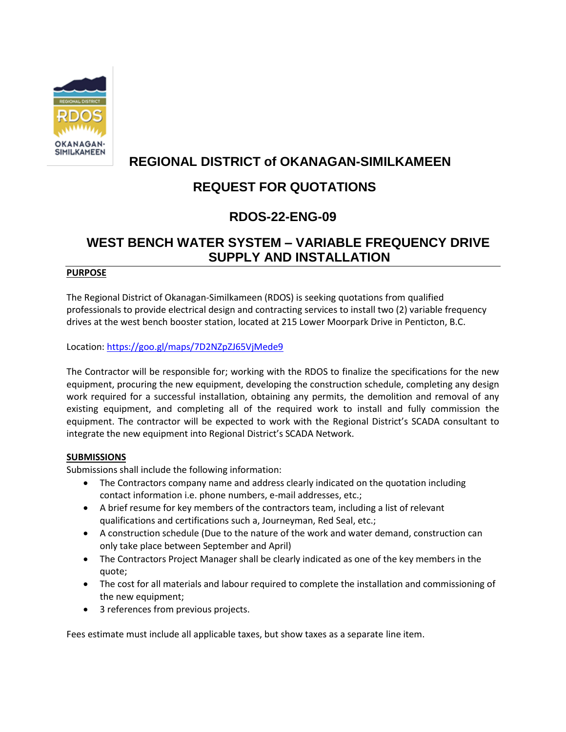

## **REGIONAL DISTRICT of OKANAGAN-SIMILKAMEEN**

# **REQUEST FOR QUOTATIONS**

## **RDOS-22-ENG-09**

## **WEST BENCH WATER SYSTEM – VARIABLE FREQUENCY DRIVE SUPPLY AND INSTALLATION**

## **PURPOSE**

The Regional District of Okanagan-Similkameen (RDOS) is seeking quotations from qualified professionals to provide electrical design and contracting services to install two (2) variable frequency drives at the west bench booster station, located at 215 Lower Moorpark Drive in Penticton, B.C.

Location[: https://goo.gl/maps/7D2NZpZJ65VjMede9](https://goo.gl/maps/7D2NZpZJ65VjMede9)

The Contractor will be responsible for; working with the RDOS to finalize the specifications for the new equipment, procuring the new equipment, developing the construction schedule, completing any design work required for a successful installation, obtaining any permits, the demolition and removal of any existing equipment, and completing all of the required work to install and fully commission the equipment. The contractor will be expected to work with the Regional District's SCADA consultant to integrate the new equipment into Regional District's SCADA Network.

## **SUBMISSIONS**

Submissions shall include the following information:

- The Contractors company name and address clearly indicated on the quotation including contact information i.e. phone numbers, e-mail addresses, etc.;
- A brief resume for key members of the contractors team, including a list of relevant qualifications and certifications such a, Journeyman, Red Seal, etc.;
- A construction schedule (Due to the nature of the work and water demand, construction can only take place between September and April)
- The Contractors Project Manager shall be clearly indicated as one of the key members in the quote;
- The cost for all materials and labour required to complete the installation and commissioning of the new equipment;
- 3 references from previous projects.

Fees estimate must include all applicable taxes, but show taxes as a separate line item.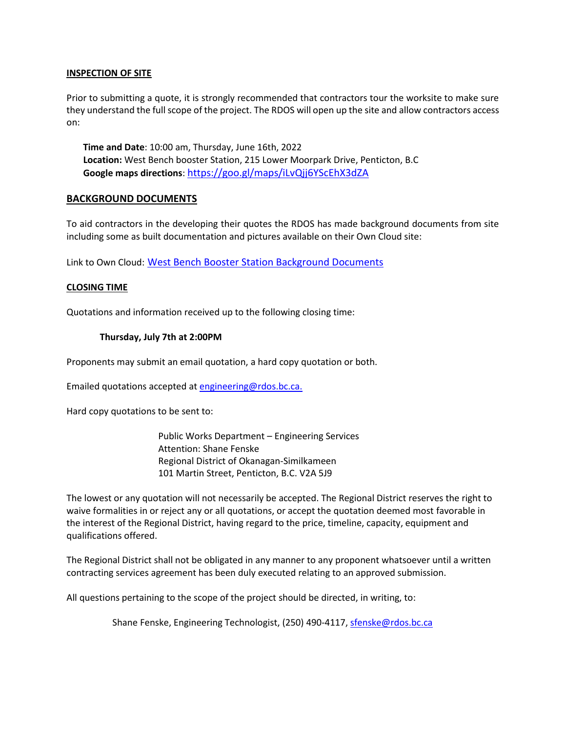#### **INSPECTION OF SITE**

Prior to submitting a quote, it is strongly recommended that contractors tour the worksite to make sure they understand the full scope of the project. The RDOS will open up the site and allow contractors access on:

**Time and Date**: 10:00 am, Thursday, June 16th, 2022 **Location:** West Bench booster Station, 215 Lower Moorpark Drive, Penticton, B.C **Google maps directions**: <https://goo.gl/maps/iLvQjj6YScEhX3dZA>

#### **BACKGROUND DOCUMENTS**

To aid contractors in the developing their quotes the RDOS has made background documents from site including some as built documentation and pictures available on their Own Cloud site:

Link to Own Cloud: [West Bench Booster Station Background Documents](https://file.rdos.bc.ca/index.php/s/YC68RLn8GFvBkkA)

#### **CLOSING TIME**

Quotations and information received up to the following closing time:

#### **Thursday, July 7th at 2:00PM**

Proponents may submit an email quotation, a hard copy quotation or both.

Emailed quotations accepted at [engineering@rdos.bc.ca.](mailto:engineering@rdos.bc.ca)

Hard copy quotations to be sent to:

Public Works Department – Engineering Services Attention: Shane Fenske Regional District of Okanagan-Similkameen 101 Martin Street, Penticton, B.C. V2A 5J9

The lowest or any quotation will not necessarily be accepted. The Regional District reserves the right to waive formalities in or reject any or all quotations, or accept the quotation deemed most favorable in the interest of the Regional District, having regard to the price, timeline, capacity, equipment and qualifications offered.

The Regional District shall not be obligated in any manner to any proponent whatsoever until a written contracting services agreement has been duly executed relating to an approved submission.

All questions pertaining to the scope of the project should be directed, in writing, to:

Shane Fenske, Engineering Technologist, (250) 490-4117, [sfenske@rdos.bc.ca](mailto:sfenske@rdos.bc.ca)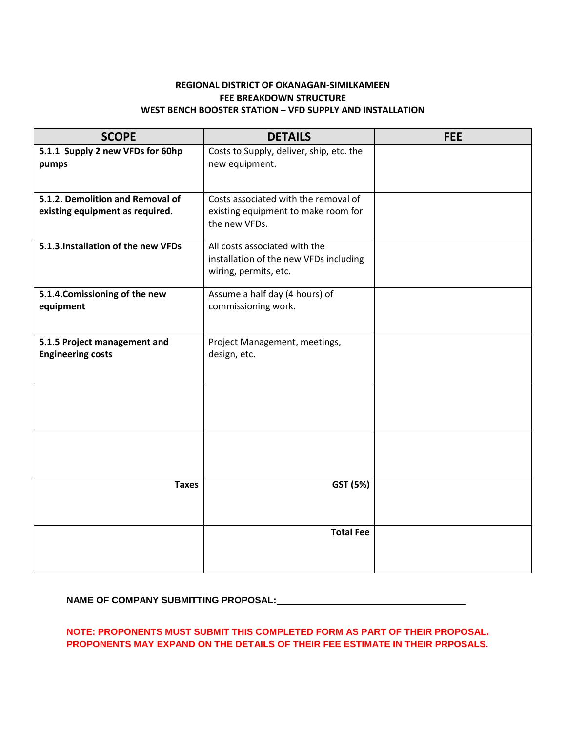## **REGIONAL DISTRICT OF OKANAGAN-SIMILKAMEEN FEE BREAKDOWN STRUCTURE WEST BENCH BOOSTER STATION – VFD SUPPLY AND INSTALLATION**

| <b>SCOPE</b>                                             | <b>DETAILS</b>                                                                                   | <b>FEE</b> |
|----------------------------------------------------------|--------------------------------------------------------------------------------------------------|------------|
| 5.1.1 Supply 2 new VFDs for 60hp<br>pumps                | Costs to Supply, deliver, ship, etc. the<br>new equipment.                                       |            |
|                                                          |                                                                                                  |            |
| 5.1.2. Demolition and Removal of                         | Costs associated with the removal of                                                             |            |
| existing equipment as required.                          | existing equipment to make room for<br>the new VFDs.                                             |            |
| 5.1.3. Installation of the new VFDs                      | All costs associated with the<br>installation of the new VFDs including<br>wiring, permits, etc. |            |
| 5.1.4. Comissioning of the new<br>equipment              | Assume a half day (4 hours) of<br>commissioning work.                                            |            |
| 5.1.5 Project management and<br><b>Engineering costs</b> | Project Management, meetings,<br>design, etc.                                                    |            |
|                                                          |                                                                                                  |            |
|                                                          |                                                                                                  |            |
| <b>Taxes</b>                                             | GST (5%)                                                                                         |            |
|                                                          | <b>Total Fee</b>                                                                                 |            |

## **NAME OF COMPANY SUBMITTING PROPOSAL:**

## **NOTE: PROPONENTS MUST SUBMIT THIS COMPLETED FORM AS PART OF THEIR PROPOSAL. PROPONENTS MAY EXPAND ON THE DETAILS OF THEIR FEE ESTIMATE IN THEIR PRPOSALS.**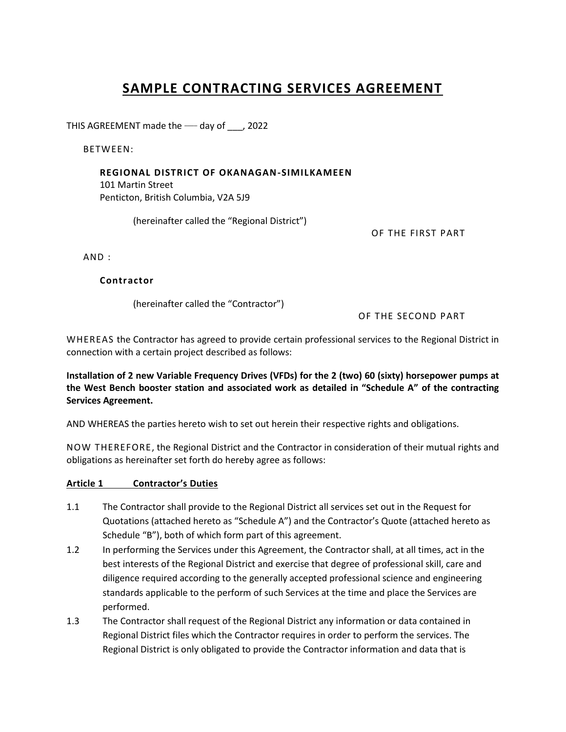# **SAMPLE CONTRACTING SERVICES AGREEMENT**

THIS AGREEMENT made the - day of \_\_\_, 2022

BETWEEN:

## **REGIONAL DISTRICT OF OKANAGAN-SIMILKAMEEN**

101 Martin Street Penticton, British Columbia, V2A 5J9

(hereinafter called the "Regional District")

OF THE FIRST PART

AND :

## **Contractor**

(hereinafter called the "Contractor")

OF THE SECOND PART

WHEREAS the Contractor has agreed to provide certain professional services to the Regional District in connection with a certain project described as follows:

**Installation of 2 new Variable Frequency Drives (VFDs) for the 2 (two) 60 (sixty) horsepower pumps at the West Bench booster station and associated work as detailed in "Schedule A" of the contracting Services Agreement.** 

AND WHEREAS the parties hereto wish to set out herein their respective rights and obligations.

NOW THEREFORE, the Regional District and the Contractor in consideration of their mutual rights and obligations as hereinafter set forth do hereby agree as follows:

## **Article 1 Contractor's Duties**

- 1.1 The Contractor shall provide to the Regional District all services set out in the Request for Quotations (attached hereto as "Schedule A") and the Contractor's Quote (attached hereto as Schedule "B"), both of which form part of this agreement.
- 1.2 In performing the Services under this Agreement, the Contractor shall, at all times, act in the best interests of the Regional District and exercise that degree of professional skill, care and diligence required according to the generally accepted professional science and engineering standards applicable to the perform of such Services at the time and place the Services are performed.
- 1.3 The Contractor shall request of the Regional District any information or data contained in Regional District files which the Contractor requires in order to perform the services. The Regional District is only obligated to provide the Contractor information and data that is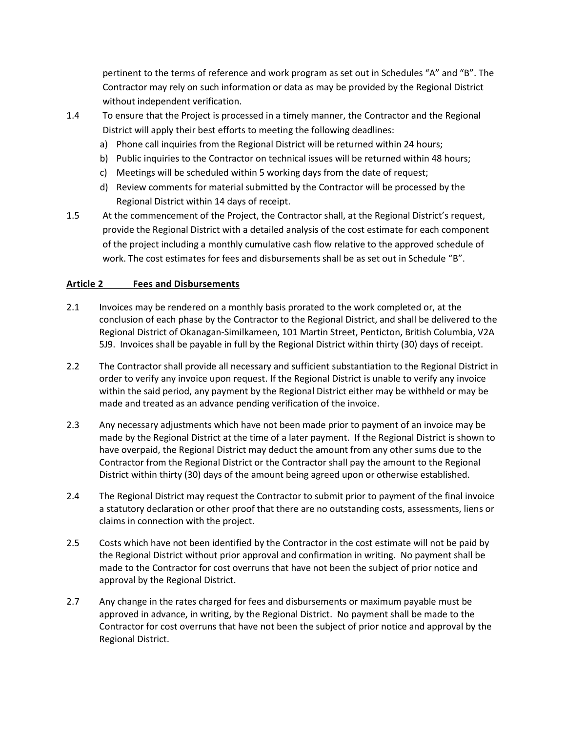pertinent to the terms of reference and work program as set out in Schedules "A" and "B". The Contractor may rely on such information or data as may be provided by the Regional District without independent verification.

- 1.4 To ensure that the Project is processed in a timely manner, the Contractor and the Regional District will apply their best efforts to meeting the following deadlines:
	- a) Phone call inquiries from the Regional District will be returned within 24 hours;
	- b) Public inquiries to the Contractor on technical issues will be returned within 48 hours;
	- c) Meetings will be scheduled within 5 working days from the date of request;
	- d) Review comments for material submitted by the Contractor will be processed by the Regional District within 14 days of receipt.
- 1.5 At the commencement of the Project, the Contractor shall, at the Regional District's request, provide the Regional District with a detailed analysis of the cost estimate for each component of the project including a monthly cumulative cash flow relative to the approved schedule of work. The cost estimates for fees and disbursements shall be as set out in Schedule "B".

## **Article 2 Fees and Disbursements**

- 2.1 Invoices may be rendered on a monthly basis prorated to the work completed or, at the conclusion of each phase by the Contractor to the Regional District, and shall be delivered to the Regional District of Okanagan-Similkameen, 101 Martin Street, Penticton, British Columbia, V2A 5J9. Invoices shall be payable in full by the Regional District within thirty (30) days of receipt.
- 2.2 The Contractor shall provide all necessary and sufficient substantiation to the Regional District in order to verify any invoice upon request. If the Regional District is unable to verify any invoice within the said period, any payment by the Regional District either may be withheld or may be made and treated as an advance pending verification of the invoice.
- 2.3 Any necessary adjustments which have not been made prior to payment of an invoice may be made by the Regional District at the time of a later payment. If the Regional District is shown to have overpaid, the Regional District may deduct the amount from any other sums due to the Contractor from the Regional District or the Contractor shall pay the amount to the Regional District within thirty (30) days of the amount being agreed upon or otherwise established.
- 2.4 The Regional District may request the Contractor to submit prior to payment of the final invoice a statutory declaration or other proof that there are no outstanding costs, assessments, liens or claims in connection with the project.
- 2.5 Costs which have not been identified by the Contractor in the cost estimate will not be paid by the Regional District without prior approval and confirmation in writing. No payment shall be made to the Contractor for cost overruns that have not been the subject of prior notice and approval by the Regional District.
- 2.7 Any change in the rates charged for fees and disbursements or maximum payable must be approved in advance, in writing, by the Regional District. No payment shall be made to the Contractor for cost overruns that have not been the subject of prior notice and approval by the Regional District.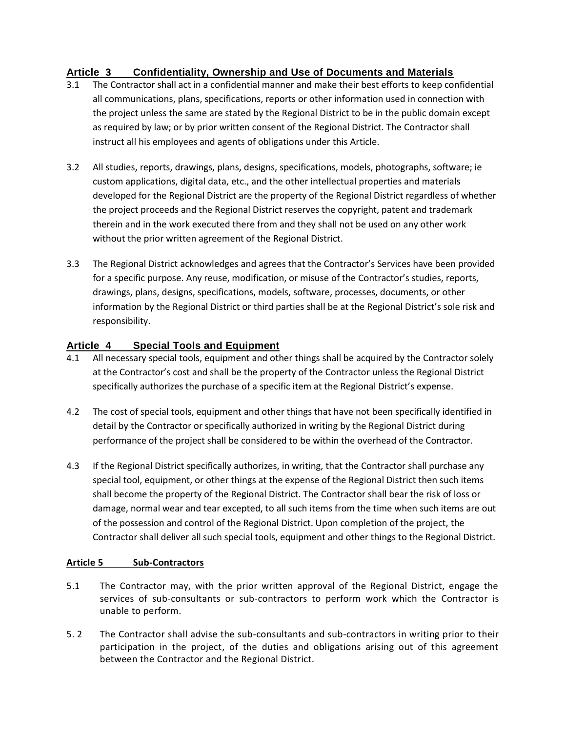## **Article 3 Confidentiality, Ownership and Use of Documents and Materials**

- 3.1 The Contractor shall act in a confidential manner and make their best efforts to keep confidential all communications, plans, specifications, reports or other information used in connection with the project unless the same are stated by the Regional District to be in the public domain except as required by law; or by prior written consent of the Regional District. The Contractor shall instruct all his employees and agents of obligations under this Article.
- 3.2 All studies, reports, drawings, plans, designs, specifications, models, photographs, software; ie custom applications, digital data, etc., and the other intellectual properties and materials developed for the Regional District are the property of the Regional District regardless of whether the project proceeds and the Regional District reserves the copyright, patent and trademark therein and in the work executed there from and they shall not be used on any other work without the prior written agreement of the Regional District.
- 3.3 The Regional District acknowledges and agrees that the Contractor's Services have been provided for a specific purpose. Any reuse, modification, or misuse of the Contractor's studies, reports, drawings, plans, designs, specifications, models, software, processes, documents, or other information by the Regional District or third parties shall be at the Regional District's sole risk and responsibility.

## **Article 4 Special Tools and Equipment**

- 4.1 All necessary special tools, equipment and other things shall be acquired by the Contractor solely at the Contractor's cost and shall be the property of the Contractor unless the Regional District specifically authorizes the purchase of a specific item at the Regional District's expense.
- 4.2 The cost of special tools, equipment and other things that have not been specifically identified in detail by the Contractor or specifically authorized in writing by the Regional District during performance of the project shall be considered to be within the overhead of the Contractor.
- 4.3 If the Regional District specifically authorizes, in writing, that the Contractor shall purchase any special tool, equipment, or other things at the expense of the Regional District then such items shall become the property of the Regional District. The Contractor shall bear the risk of loss or damage, normal wear and tear excepted, to all such items from the time when such items are out of the possession and control of the Regional District. Upon completion of the project, the Contractor shall deliver all such special tools, equipment and other things to the Regional District.

## **Article 5 Sub-Contractors**

- 5.1 The Contractor may, with the prior written approval of the Regional District, engage the services of sub-consultants or sub-contractors to perform work which the Contractor is unable to perform.
- 5. 2 The Contractor shall advise the sub-consultants and sub-contractors in writing prior to their participation in the project, of the duties and obligations arising out of this agreement between the Contractor and the Regional District.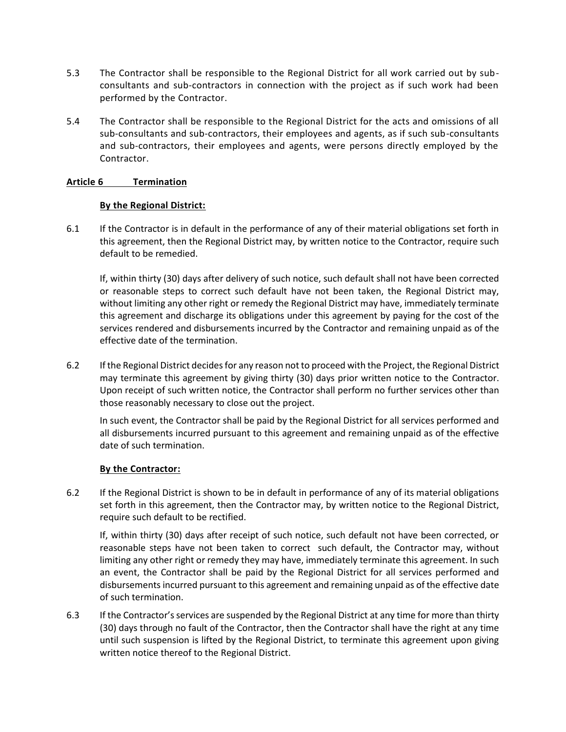- 5.3 The Contractor shall be responsible to the Regional District for all work carried out by subconsultants and sub-contractors in connection with the project as if such work had been performed by the Contractor.
- 5.4 The Contractor shall be responsible to the Regional District for the acts and omissions of all sub-consultants and sub-contractors, their employees and agents, as if such sub-consultants and sub-contractors, their employees and agents, were persons directly employed by the Contractor.

## **Article 6 Termination**

#### **By the Regional District:**

6.1 If the Contractor is in default in the performance of any of their material obligations set forth in this agreement, then the Regional District may, by written notice to the Contractor, require such default to be remedied.

If, within thirty (30) days after delivery of such notice, such default shall not have been corrected or reasonable steps to correct such default have not been taken, the Regional District may, without limiting any other right or remedy the Regional District may have, immediately terminate this agreement and discharge its obligations under this agreement by paying for the cost of the services rendered and disbursements incurred by the Contractor and remaining unpaid as of the effective date of the termination.

6.2 If the Regional District decides for any reason not to proceed with the Project, the Regional District may terminate this agreement by giving thirty (30) days prior written notice to the Contractor. Upon receipt of such written notice, the Contractor shall perform no further services other than those reasonably necessary to close out the project.

In such event, the Contractor shall be paid by the Regional District for all services performed and all disbursements incurred pursuant to this agreement and remaining unpaid as of the effective date of such termination.

#### **By the Contractor:**

6.2 If the Regional District is shown to be in default in performance of any of its material obligations set forth in this agreement, then the Contractor may, by written notice to the Regional District, require such default to be rectified.

If, within thirty (30) days after receipt of such notice, such default not have been corrected, or reasonable steps have not been taken to correct such default, the Contractor may, without limiting any other right or remedy they may have, immediately terminate this agreement. In such an event, the Contractor shall be paid by the Regional District for all services performed and disbursements incurred pursuant to this agreement and remaining unpaid as of the effective date of such termination.

6.3 If the Contractor's services are suspended by the Regional District at any time for more than thirty (30) days through no fault of the Contractor, then the Contractor shall have the right at any time until such suspension is lifted by the Regional District, to terminate this agreement upon giving written notice thereof to the Regional District.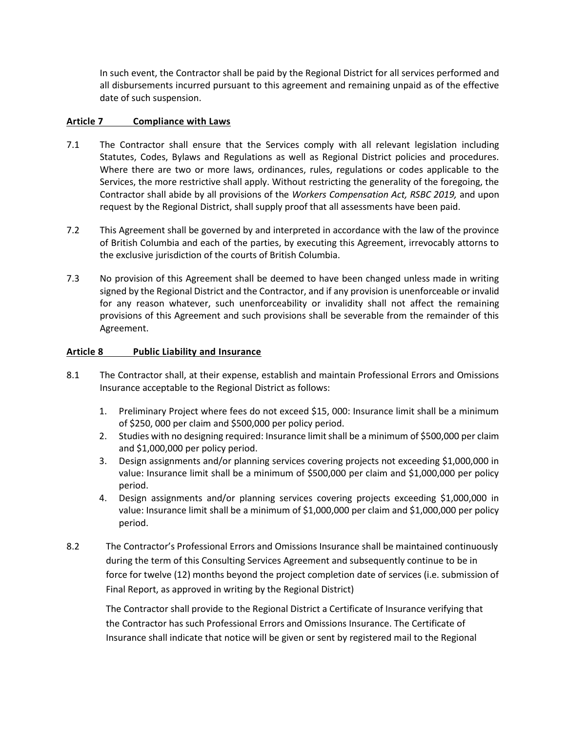In such event, the Contractor shall be paid by the Regional District for all services performed and all disbursements incurred pursuant to this agreement and remaining unpaid as of the effective date of such suspension.

## **Article 7 Compliance with Laws**

- 7.1 The Contractor shall ensure that the Services comply with all relevant legislation including Statutes, Codes, Bylaws and Regulations as well as Regional District policies and procedures. Where there are two or more laws, ordinances, rules, regulations or codes applicable to the Services, the more restrictive shall apply. Without restricting the generality of the foregoing, the Contractor shall abide by all provisions of the *Workers Compensation Act, RSBC 2019,* and upon request by the Regional District, shall supply proof that all assessments have been paid.
- 7.2 This Agreement shall be governed by and interpreted in accordance with the law of the province of British Columbia and each of the parties, by executing this Agreement, irrevocably attorns to the exclusive jurisdiction of the courts of British Columbia.
- 7.3 No provision of this Agreement shall be deemed to have been changed unless made in writing signed by the Regional District and the Contractor, and if any provision is unenforceable or invalid for any reason whatever, such unenforceability or invalidity shall not affect the remaining provisions of this Agreement and such provisions shall be severable from the remainder of this Agreement.

## **Article 8 Public Liability and Insurance**

- 8.1 The Contractor shall, at their expense, establish and maintain Professional Errors and Omissions Insurance acceptable to the Regional District as follows:
	- 1. Preliminary Project where fees do not exceed \$15, 000: Insurance limit shall be a minimum of \$250, 000 per claim and \$500,000 per policy period.
	- 2. Studies with no designing required: Insurance limit shall be a minimum of \$500,000 per claim and \$1,000,000 per policy period.
	- 3. Design assignments and/or planning services covering projects not exceeding \$1,000,000 in value: Insurance limit shall be a minimum of \$500,000 per claim and \$1,000,000 per policy period.
	- 4. Design assignments and/or planning services covering projects exceeding \$1,000,000 in value: Insurance limit shall be a minimum of \$1,000,000 per claim and \$1,000,000 per policy period.
- 8.2 The Contractor's Professional Errors and Omissions Insurance shall be maintained continuously during the term of this Consulting Services Agreement and subsequently continue to be in force for twelve (12) months beyond the project completion date of services (i.e. submission of Final Report, as approved in writing by the Regional District)

The Contractor shall provide to the Regional District a Certificate of Insurance verifying that the Contractor has such Professional Errors and Omissions Insurance. The Certificate of Insurance shall indicate that notice will be given or sent by registered mail to the Regional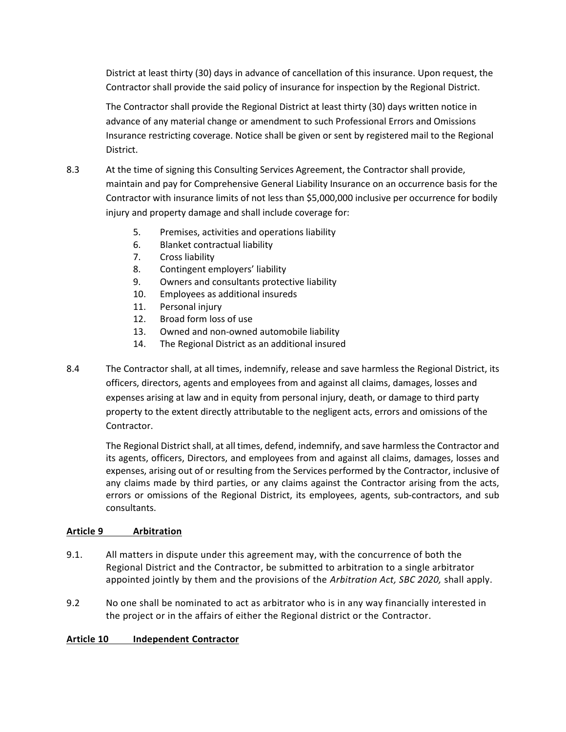District at least thirty (30) days in advance of cancellation of this insurance. Upon request, the Contractor shall provide the said policy of insurance for inspection by the Regional District.

The Contractor shall provide the Regional District at least thirty (30) days written notice in advance of any material change or amendment to such Professional Errors and Omissions Insurance restricting coverage. Notice shall be given or sent by registered mail to the Regional District.

- 8.3 At the time of signing this Consulting Services Agreement, the Contractor shall provide, maintain and pay for Comprehensive General Liability Insurance on an occurrence basis for the Contractor with insurance limits of not less than \$5,000,000 inclusive per occurrence for bodily injury and property damage and shall include coverage for:
	- 5. Premises, activities and operations liability
	- 6. Blanket contractual liability
	- 7. Cross liability
	- 8. Contingent employers' liability
	- 9. Owners and consultants protective liability
	- 10. Employees as additional insureds
	- 11. Personal injury
	- 12. Broad form loss of use
	- 13. Owned and non-owned automobile liability
	- 14. The Regional District as an additional insured
- 8.4 The Contractor shall, at all times, indemnify, release and save harmless the Regional District, its officers, directors, agents and employees from and against all claims, damages, losses and expenses arising at law and in equity from personal injury, death, or damage to third party property to the extent directly attributable to the negligent acts, errors and omissions of the Contractor.

The Regional District shall, at all times, defend, indemnify, and save harmless the Contractor and its agents, officers, Directors, and employees from and against all claims, damages, losses and expenses, arising out of or resulting from the Services performed by the Contractor, inclusive of any claims made by third parties, or any claims against the Contractor arising from the acts, errors or omissions of the Regional District, its employees, agents, sub-contractors, and sub consultants.

## **Article 9 Arbitration**

- 9.1. All matters in dispute under this agreement may, with the concurrence of both the Regional District and the Contractor, be submitted to arbitration to a single arbitrator appointed jointly by them and the provisions of the *Arbitration Act, SBC 2020,* shall apply.
- 9.2 No one shall be nominated to act as arbitrator who is in any way financially interested in the project or in the affairs of either the Regional district or the Contractor.

## **Article 10 Independent Contractor**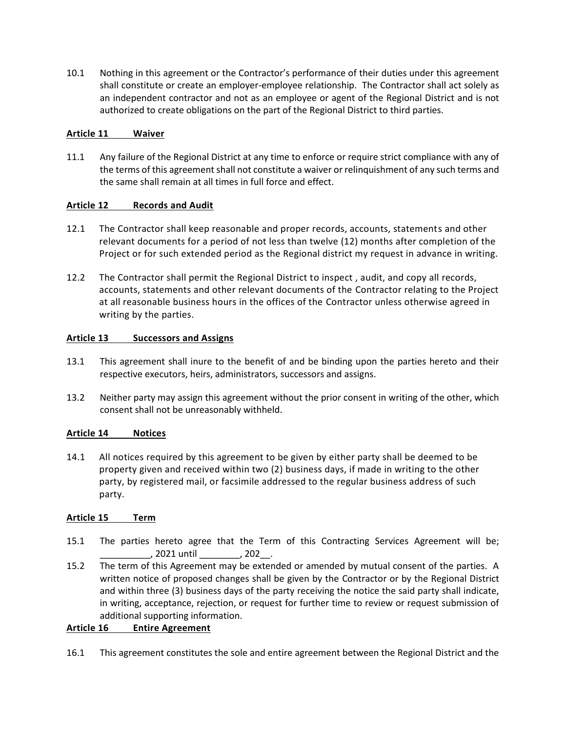10.1 Nothing in this agreement or the Contractor's performance of their duties under this agreement shall constitute or create an employer-employee relationship. The Contractor shall act solely as an independent contractor and not as an employee or agent of the Regional District and is not authorized to create obligations on the part of the Regional District to third parties.

## **Article 11 Waiver**

11.1 Any failure of the Regional District at any time to enforce or require strict compliance with any of the terms of this agreement shall not constitute a waiver or relinquishment of any such terms and the same shall remain at all times in full force and effect.

## **Article 12 Records and Audit**

- 12.1 The Contractor shall keep reasonable and proper records, accounts, statements and other relevant documents for a period of not less than twelve (12) months after completion of the Project or for such extended period as the Regional district my request in advance in writing.
- 12.2 The Contractor shall permit the Regional District to inspect , audit, and copy all records, accounts, statements and other relevant documents of the Contractor relating to the Project at all reasonable business hours in the offices of the Contractor unless otherwise agreed in writing by the parties.

#### **Article 13 Successors and Assigns**

- 13.1 This agreement shall inure to the benefit of and be binding upon the parties hereto and their respective executors, heirs, administrators, successors and assigns.
- 13.2 Neither party may assign this agreement without the prior consent in writing of the other, which consent shall not be unreasonably withheld.

## **Article 14 Notices**

14.1 All notices required by this agreement to be given by either party shall be deemed to be property given and received within two (2) business days, if made in writing to the other party, by registered mail, or facsimile addressed to the regular business address of such party.

## **Article 15 Term**

- 15.1 The parties hereto agree that the Term of this Contracting Services Agreement will be; \_\_\_\_\_\_\_\_\_\_, 2021 until \_\_\_\_\_\_\_\_, 202\_\_.
- 15.2 The term of this Agreement may be extended or amended by mutual consent of the parties. A written notice of proposed changes shall be given by the Contractor or by the Regional District and within three (3) business days of the party receiving the notice the said party shall indicate, in writing, acceptance, rejection, or request for further time to review or request submission of additional supporting information.

## **Article 16 Entire Agreement**

16.1 This agreement constitutes the sole and entire agreement between the Regional District and the